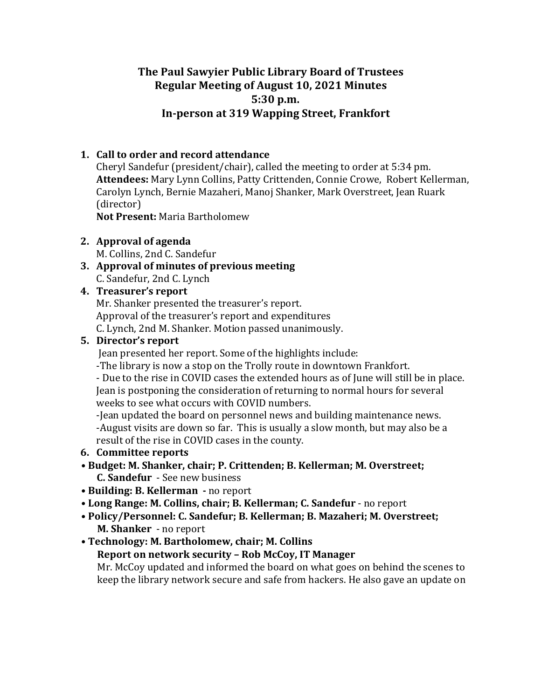# **The Paul Sawyier Public Library Board of Trustees Regular Meeting of August 10, 2021 Minutes 5:30 p.m.**  In-person at 319 Wapping Street, Frankfort

## **1. Call to order and record attendance**

Cheryl Sandefur (president/chair), called the meeting to order at  $5:34$  pm. Attendees: Mary Lynn Collins, Patty Crittenden, Connie Crowe, Robert Kellerman, Carolyn Lynch, Bernie Mazaheri, Manoj Shanker, Mark Overstreet, Jean Ruark (director)

**Not Present: Maria Bartholomew** 

**2. Approval** of agenda

M. Collins, 2nd C. Sandefur

**3. Approval of minutes of previous meeting** C. Sandefur, 2nd C. Lynch

### **4.** Treasurer's report

Mr. Shanker presented the treasurer's report. Approval of the treasurer's report and expenditures C. Lynch, 2nd M. Shanker. Motion passed unanimously.

#### **5.** Director's report

Jean presented her report. Some of the highlights include:

-The library is now a stop on the Trolly route in downtown Frankfort.

- Due to the rise in COVID cases the extended hours as of June will still be in place. Jean is postponing the consideration of returning to normal hours for several weeks to see what occurs with COVID numbers.

-Jean updated the board on personnel news and building maintenance news. -August visits are down so far. This is usually a slow month, but may also be a result of the rise in COVID cases in the county.

### **6.** Committee reports

- Budget: M. Shanker, chair; P. Crittenden; B. Kellerman; M. Overstreet; **C. Sandefur** - See new business
- Building: B. Kellerman no report
- Long Range: M. Collins, chair; B. Kellerman; C. Sandefur no report
- Policy/Personnel: C. Sandefur; B. Kellerman; B. Mazaheri; M. Overstreet; **M. Shanker** - no report
- Technology: M. Bartholomew, chair; M. Collins

### **Report on network security - Rob McCoy, IT Manager**

Mr. McCoy updated and informed the board on what goes on behind the scenes to keep the library network secure and safe from hackers. He also gave an update on